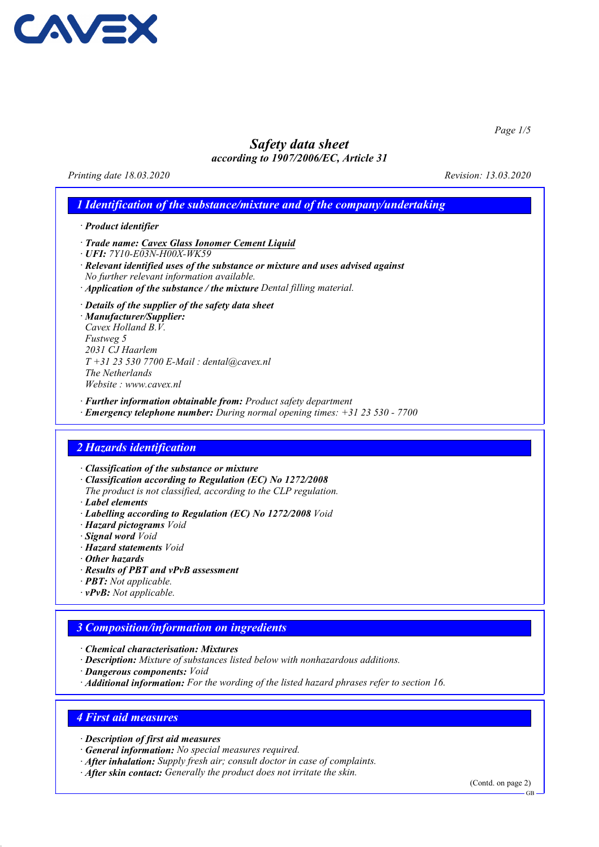

Page 1/5

# Safety data sheet

according to 1907/2006/EC, Article 31

Printing date 18.03.2020 Revision: 13.03.2020

# 1 Identification of the substance/mixture and of the company/undertaking

- · Product identifier
- · Trade name: Cavex Glass Ionomer Cement Liquid
- · UFI: 7Y10-E03N-H00X-WK59
- · Relevant identified uses of the substance or mixture and uses advised against No further relevant information available.
- · Application of the substance / the mixture Dental filling material.
- · Details of the supplier of the safety data sheet

· Manufacturer/Supplier: Cavex Holland B.V. Fustweg 5 2031 CJ Haarlem  $T + 31 23 530 7700 E$ -Mail: dental@cavex.nl The Netherlands Website : www.cavex.nl

- · Further information obtainable from: Product safety department
- · Emergency telephone number: During normal opening times: +31 23 530 7700

## 2 Hazards identification

· Classification of the substance or mixture

- · Classification according to Regulation (EC) No 1272/2008
- The product is not classified, according to the CLP regulation.
- · Label elements
- · Labelling according to Regulation (EC) No 1272/2008 Void
- · Hazard pictograms Void
- · Signal word Void
- · Hazard statements Void
- · Other hazards
- · Results of PBT and vPvB assessment
- · PBT: Not applicable.
- $\cdot$  **vPvB:** Not applicable.

# 3 Composition/information on ingredients

- · Chemical characterisation: Mixtures
- · Description: Mixture of substances listed below with nonhazardous additions.
- · Dangerous components: Void
- · Additional information: For the wording of the listed hazard phrases refer to section 16.

## 4 First aid measures

- · Description of first aid measures
- · General information: No special measures required.
- · After inhalation: Supply fresh air; consult doctor in case of complaints.
- · After skin contact: Generally the product does not irritate the skin.

(Contd. on page 2)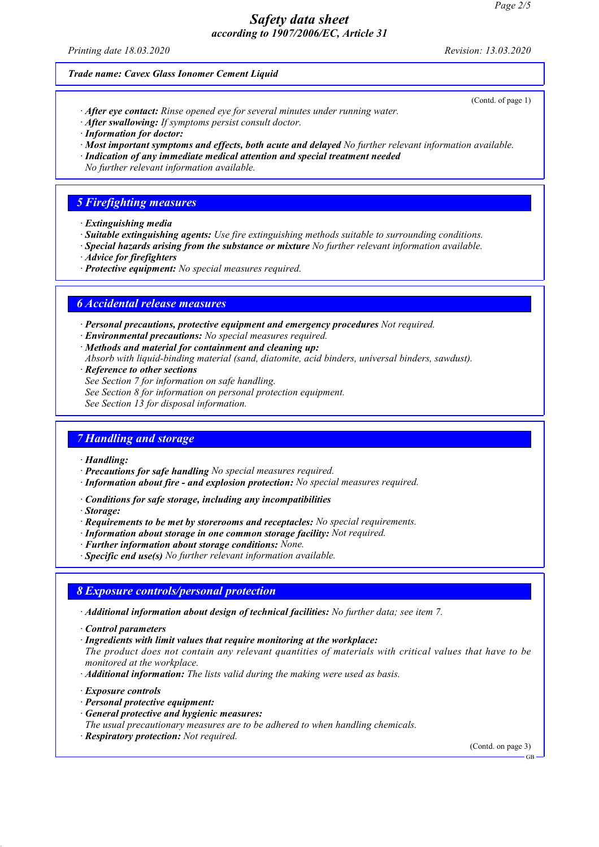Printing date 18.03.2020 Revision: 13.03.2020

(Contd. of page 1)

#### Trade name: Cavex Glass Ionomer Cement Liquid

- · After eye contact: Rinse opened eye for several minutes under running water.
- · After swallowing: If symptoms persist consult doctor.
- · Information for doctor:
- · Most important symptoms and effects, both acute and delayed No further relevant information available.
- · Indication of any immediate medical attention and special treatment needed
- No further relevant information available.

# 5 Firefighting measures

- · Extinguishing media
- · Suitable extinguishing agents: Use fire extinguishing methods suitable to surrounding conditions.
- · Special hazards arising from the substance or mixture No further relevant information available.
- · Advice for firefighters
- · Protective equipment: No special measures required.

## 6 Accidental release measures

· Personal precautions, protective equipment and emergency procedures Not required.

- · Environmental precautions: No special measures required.
- · Methods and material for containment and cleaning up:
- Absorb with liquid-binding material (sand, diatomite, acid binders, universal binders, sawdust).
- · Reference to other sections
- See Section 7 for information on safe handling.
- See Section 8 for information on personal protection equipment.
- See Section 13 for disposal information.

# 7 Handling and storage

#### · Handling:

- · Precautions for safe handling No special measures required.
- · Information about fire and explosion protection: No special measures required.
- · Conditions for safe storage, including any incompatibilities
- · Storage:
- · Requirements to be met by storerooms and receptacles: No special requirements.
- · Information about storage in one common storage facility: Not required.
- · Further information about storage conditions: None.
- · Specific end use(s) No further relevant information available.

## 8 Exposure controls/personal protection

- · Additional information about design of technical facilities: No further data; see item 7.
- · Control parameters
- · Ingredients with limit values that require monitoring at the workplace:

The product does not contain any relevant quantities of materials with critical values that have to be monitored at the workplace.

- · Additional information: The lists valid during the making were used as basis.
- · Exposure controls
- · Personal protective equipment:
- · General protective and hygienic measures:
- The usual precautionary measures are to be adhered to when handling chemicals.
- · Respiratory protection: Not required.

(Contd. on page 3)

GB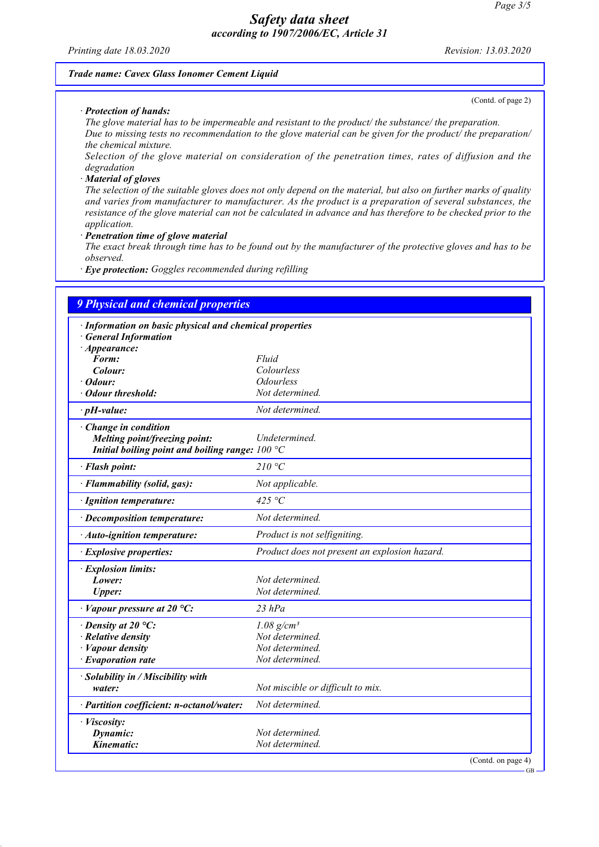Printing date 18.03.2020 Revision: 13.03.2020

#### Trade name: Cavex Glass Ionomer Cement Liquid

· Protection of hands:

(Contd. of page 2)

GB

The glove material has to be impermeable and resistant to the product/ the substance/ the preparation. Due to missing tests no recommendation to the glove material can be given for the product/ the preparation/ the chemical mixture.

Selection of the glove material on consideration of the penetration times, rates of diffusion and the degradation

· Material of gloves

The selection of the suitable gloves does not only depend on the material, but also on further marks of quality and varies from manufacturer to manufacturer. As the product is a preparation of several substances, the resistance of the glove material can not be calculated in advance and has therefore to be checked prior to the application.

Penetration time of glove material

The exact break through time has to be found out by the manufacturer of the protective gloves and has to be observed.

· Eye protection: Goggles recommended during refilling

| <b>9 Physical and chemical properties</b>               |                                               |
|---------------------------------------------------------|-----------------------------------------------|
| · Information on basic physical and chemical properties |                                               |
| <b>General Information</b>                              |                                               |
| $\cdot$ Appearance:                                     |                                               |
| Form:                                                   | Fluid                                         |
| Colour:                                                 | Colourless                                    |
| Odour:                                                  | <b>Odourless</b>                              |
| <b>Odour threshold:</b>                                 | Not determined.                               |
| $\cdot$ pH-value:                                       | Not determined.                               |
| · Change in condition                                   |                                               |
| Melting point/freezing point:                           | Undetermined.                                 |
| Initial boiling point and boiling range: $100 °C$       |                                               |
| · Flash point:                                          | 210 °C                                        |
| · Flammability (solid, gas):                            | Not applicable.                               |
| · Ignition temperature:                                 | 425 °C                                        |
| · Decomposition temperature:                            | Not determined.                               |
| · Auto-ignition temperature:                            | Product is not selfigniting.                  |
| · Explosive properties:                                 | Product does not present an explosion hazard. |
| · Explosion limits:                                     |                                               |
| Lower:                                                  | Not determined.                               |
| <b>Upper:</b>                                           | Not determined.                               |
| $\cdot$ Vapour pressure at 20 °C:                       | $23$ hPa                                      |
| $\cdot$ Density at 20 °C:                               | $1.08$ g/cm <sup>3</sup>                      |
| · Relative density                                      | Not determined.                               |
| $\cdot$ <i>Vapour density</i>                           | Not determined.                               |
| $\cdot$ Evaporation rate                                | Not determined.                               |
| · Solubility in / Miscibility with                      |                                               |
| water:                                                  | Not miscible or difficult to mix.             |
| · Partition coefficient: n-octanol/water:               | Not determined.                               |
| · Viscosity:                                            |                                               |
| Dynamic:                                                | Not determined.                               |
| Kinematic:                                              | Not determined.                               |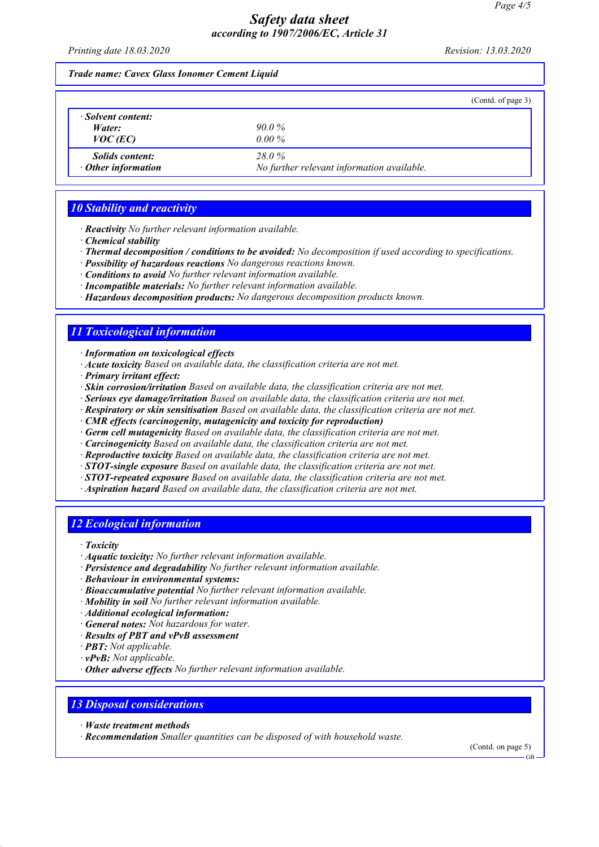Printing date 18.03.2020 Revision: 13.03.2020

#### Trade name: Cavex Glass Ionomer Cement Liquid

|                           | (Contd. of page 3)                         |
|---------------------------|--------------------------------------------|
| Solvent content:          |                                            |
| Water:                    | $90.0\%$                                   |
| $VOC$ (EC)                | $0.00\%$                                   |
| <i>Solids content:</i>    | 28.0%                                      |
| $\cdot$ Other information | No further relevant information available. |

# 10 Stability and reactivity

· Reactivity No further relevant information available.

- · Chemical stability
- · Thermal decomposition / conditions to be avoided: No decomposition if used according to specifications.
- · Possibility of hazardous reactions No dangerous reactions known.
- · Conditions to avoid No further relevant information available.
- · Incompatible materials: No further relevant information available.

· Hazardous decomposition products: No dangerous decomposition products known.

# 11 Toxicological information

· Information on toxicological effects

- · Acute toxicity Based on available data, the classification criteria are not met.
- · Primary irritant effect:
- · Skin corrosion/irritation Based on available data, the classification criteria are not met.
- · Serious eye damage/irritation Based on available data, the classification criteria are not met.
- · Respiratory or skin sensitisation Based on available data, the classification criteria are not met.
- · CMR effects (carcinogenity, mutagenicity and toxicity for reproduction)
- · Germ cell mutagenicity Based on available data, the classification criteria are not met.
- · Carcinogenicity Based on available data, the classification criteria are not met.
- · Reproductive toxicity Based on available data, the classification criteria are not met.
- · STOT-single exposure Based on available data, the classification criteria are not met.
- $\cdot$  STOT-repeated exposure Based on available data, the classification criteria are not met.
- · Aspiration hazard Based on available data, the classification criteria are not met.

# 12 Ecological information

- · Toxicity
- · Aquatic toxicity: No further relevant information available.
- · Persistence and degradability No further relevant information available.
- · Behaviour in environmental systems:
- · Bioaccumulative potential No further relevant information available.
- $\cdot$  **Mobility in soil** No further relevant information available.
- · Additional ecological information:
- · General notes: Not hazardous for water.
- · Results of PBT and vPvB assessment
- · PBT: Not applicable.
- $\cdot$  **vPvB:** Not applicable.
- · Other adverse effects No further relevant information available.

# 13 Disposal considerations

- · Waste treatment methods
- · Recommendation Smaller quantities can be disposed of with household waste.

(Contd. on page 5)

GB